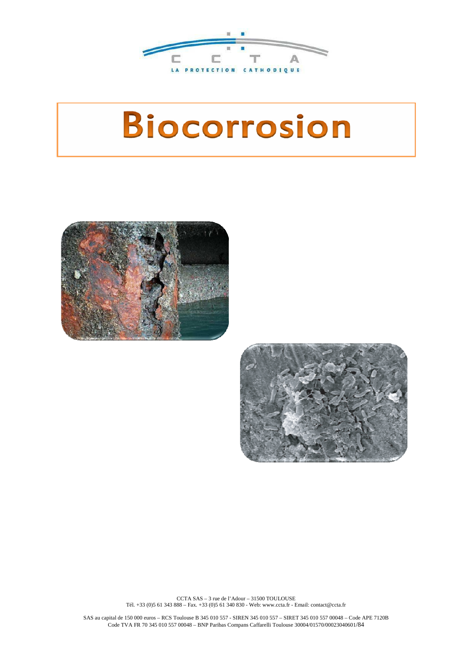

# **Biocorrosion**





CCTA SAS – 3 rue de l'Adour – 31500 TOULOUSE Tél. +33 (0)5 61 343 888 – Fax. +33 (0)5 61 340 830 - Web: www.ccta.fr - Email: contact@ccta.fr

SAS au capital de 150 000 euros – RCS Toulouse B 345 010 557 - SIREN 345 010 557 – SIRET 345 010 557 00048 – Code APE 7120B Code TVA FR 70 345 010 557 00048 – BNP Paribas Compans Caffarelli Toulouse 30004/01570/00023040601/84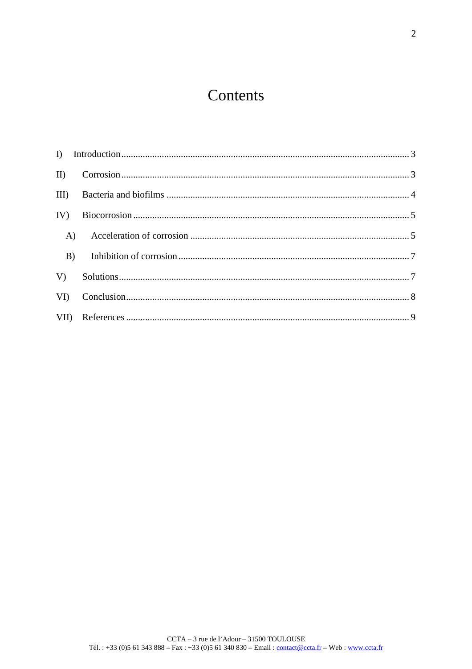# Contents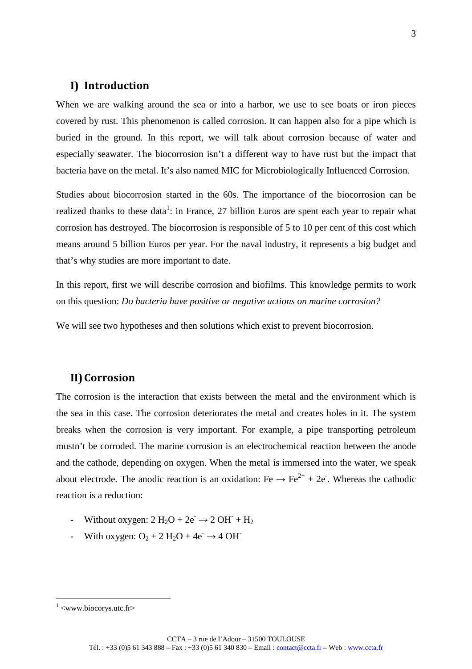# **I) Introduction**

When we are walking around the sea or into a harbor, we use to see boats or iron pieces covered by rust. This phenomenon is called corrosion. It can happen also for a pipe which is buried in the ground. In this report, we will talk about corrosion because of water and especially seawater. The biocorrosion isn't a different way to have rust but the impact that bacteria have on the metal. It's also named MIC for Microbiologically Influenced Corrosion.

Studies about biocorrosion started in the 60s. The importance of the biocorrosion can be realized thanks to these data<sup>1</sup>: in France, 27 billion Euros are spent each year to repair what corrosion has destroyed. The biocorrosion is responsible of 5 to 10 per cent of this cost which means around 5 billion Euros per year. For the naval industry, it represents a big budget and that's why studies are more important to date.

In this report, first we will describe corrosion and biofilms. This knowledge permits to work on this question: *Do bacteria have positive or negative actions on marine corrosion?*

We will see two hypotheses and then solutions which exist to prevent biocorrosion.

# **II)Corrosion**

The corrosion is the interaction that exists between the metal and the environment which is the sea in this case. The corrosion deteriorates the metal and creates holes in it. The system breaks when the corrosion is very important. For example, a pipe transporting petroleum mustn't be corroded. The marine corrosion is an electrochemical reaction between the anode and the cathode, depending on oxygen. When the metal is immersed into the water, we speak about electrode. The anodic reaction is an oxidation: Fe  $\rightarrow$  Fe<sup>2+</sup> + 2e. Whereas the cathodic reaction is a reduction:

- Without oxygen:  $2 \text{ H}_2\text{O} + 2e^- \rightarrow 2 \text{ OH}^- + \text{H}_2$
- With oxygen:  $O_2 + 2 H_2O + 4e^- \rightarrow 4 OH^-$

 $\frac{1}{1}$  <www.biocorys.utc.fr>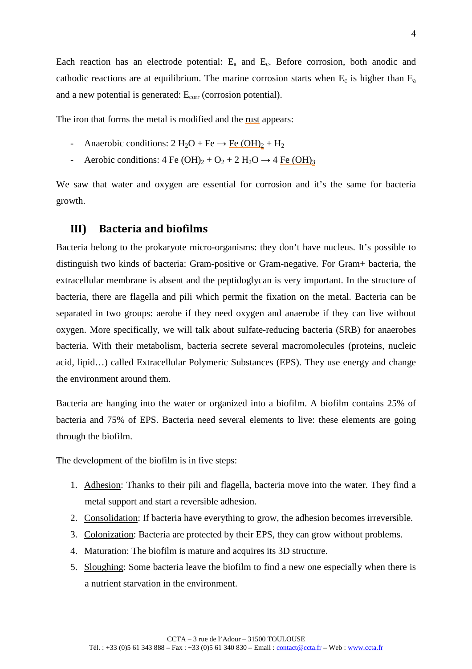Each reaction has an electrode potential: Ea and Ec. Before corrosion, both anodic and cathodic reactions are at equilibrium. The marine corrosion starts when  $E_c$  is higher than  $E_a$ and a new potential is generated:  $E_{\text{corr}}$  (corrosion potential).

The iron that forms the metal is modified and the rust appears:

- Anaerobic conditions:  $2 \text{ H}_2\text{O} + \text{Fe} \rightarrow \text{Fe} (\text{OH})_2 + \text{H}_2$
- Aerobic conditions:  $4 \text{ Fe } (OH)_2 + O_2 + 2 \text{ H}_2\text{O} \rightarrow 4 \text{ Fe } (OH)_3$

We saw that water and oxygen are essential for corrosion and it's the same for bacteria growth.

#### **III) Bacteria and biofilms**

Bacteria belong to the prokaryote micro-organisms: they don't have nucleus. It's possible to distinguish two kinds of bacteria: Gram-positive or Gram-negative. For Gram+ bacteria, the extracellular membrane is absent and the peptidoglycan is very important. In the structure of bacteria, there are flagella and pili which permit the fixation on the metal. Bacteria can be separated in two groups: aerobe if they need oxygen and anaerobe if they can live without oxygen. More specifically, we will talk about sulfate-reducing bacteria (SRB) for anaerobes bacteria. With their metabolism, bacteria secrete several macromolecules (proteins, nucleic acid, lipid…) called Extracellular Polymeric Substances (EPS). They use energy and change the environment around them.

Bacteria are hanging into the water or organized into a biofilm. A biofilm contains 25% of bacteria and 75% of EPS. Bacteria need several elements to live: these elements are going through the biofilm.

The development of the biofilm is in five steps:

- 1. Adhesion: Thanks to their pili and flagella, bacteria move into the water. They find a metal support and start a reversible adhesion.
- 2. Consolidation: If bacteria have everything to grow, the adhesion becomes irreversible.
- 3. Colonization: Bacteria are protected by their EPS, they can grow without problems.
- 4. Maturation: The biofilm is mature and acquires its 3D structure.
- 5. Sloughing: Some bacteria leave the biofilm to find a new one especially when there is a nutrient starvation in the environment.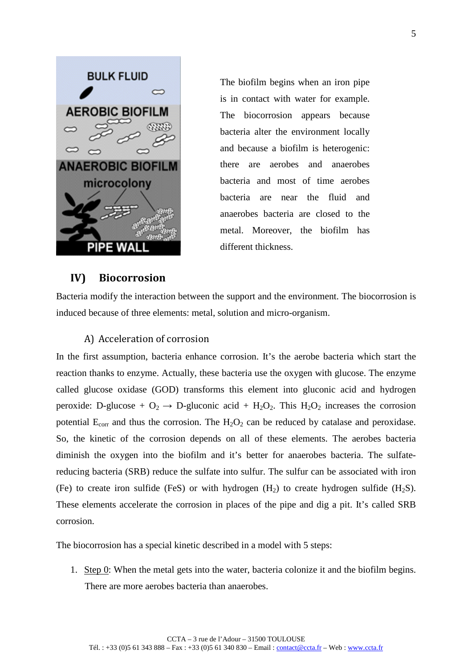

The biofilm begins when an iron pipe is in contact with water for example. The biocorrosion appears because bacteria alter the environment locally and because a biofilm is heterogenic: there are aerobes and anaerobes bacteria and most of time aerobes bacteria are near the fluid and anaerobes bacteria are closed to the metal. Moreover, the biofilm has different thickness.

# **IV) Biocorrosion**

Bacteria modify the interaction between the support and the environment. The biocorrosion is induced because of three elements: metal, solution and micro-organism.

#### A) Acceleration of corrosion

In the first assumption, bacteria enhance corrosion. It's the aerobe bacteria which start the reaction thanks to enzyme. Actually, these bacteria use the oxygen with glucose. The enzyme called glucose oxidase (GOD) transforms this element into gluconic acid and hydrogen peroxide: D-glucose +  $O_2 \rightarrow$  D-gluconic acid + H<sub>2</sub>O<sub>2</sub>. This H<sub>2</sub>O<sub>2</sub> increases the corrosion potential  $E_{\text{corr}}$  and thus the corrosion. The  $H_2O_2$  can be reduced by catalase and peroxidase. So, the kinetic of the corrosion depends on all of these elements. The aerobes bacteria diminish the oxygen into the biofilm and it's better for anaerobes bacteria. The sulfatereducing bacteria (SRB) reduce the sulfate into sulfur. The sulfur can be associated with iron (Fe) to create iron sulfide (FeS) or with hydrogen  $(H_2)$  to create hydrogen sulfide  $(H_2S)$ . These elements accelerate the corrosion in places of the pipe and dig a pit. It's called SRB corrosion.

The biocorrosion has a special kinetic described in a model with 5 steps:

1. Step 0: When the metal gets into the water, bacteria colonize it and the biofilm begins. There are more aerobes bacteria than anaerobes.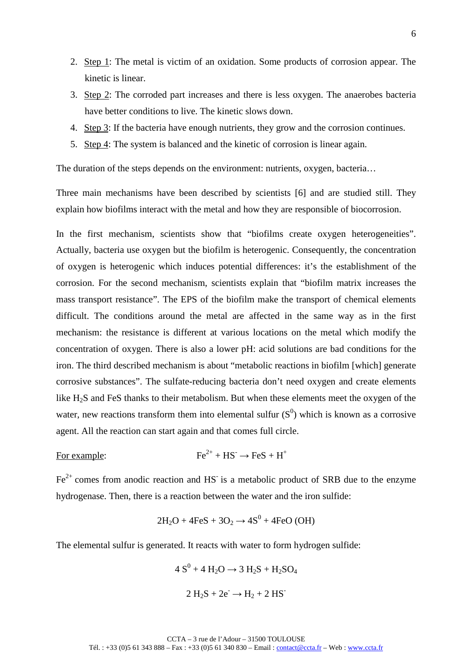- 2. Step 1: The metal is victim of an oxidation. Some products of corrosion appear. The kinetic is linear.
- 3. Step 2: The corroded part increases and there is less oxygen. The anaerobes bacteria have better conditions to live. The kinetic slows down.
- 4. Step 3: If the bacteria have enough nutrients, they grow and the corrosion continues.
- 5. Step 4: The system is balanced and the kinetic of corrosion is linear again.

The duration of the steps depends on the environment: nutrients, oxygen, bacteria…

Three main mechanisms have been described by scientists [6] and are studied still. They explain how biofilms interact with the metal and how they are responsible of biocorrosion.

In the first mechanism, scientists show that "biofilms create oxygen heterogeneities". Actually, bacteria use oxygen but the biofilm is heterogenic. Consequently, the concentration of oxygen is heterogenic which induces potential differences: it's the establishment of the corrosion. For the second mechanism, scientists explain that "biofilm matrix increases the mass transport resistance". The EPS of the biofilm make the transport of chemical elements difficult. The conditions around the metal are affected in the same way as in the first mechanism: the resistance is different at various locations on the metal which modify the concentration of oxygen. There is also a lower pH: acid solutions are bad conditions for the iron. The third described mechanism is about "metabolic reactions in biofilm [which] generate corrosive substances". The sulfate-reducing bacteria don't need oxygen and create elements like H2S and FeS thanks to their metabolism. But when these elements meet the oxygen of the water, new reactions transform them into elemental sulfur  $(S^0)$  which is known as a corrosive agent. All the reaction can start again and that comes full circle.

For example: 
$$
Fe^{2+} + HS^- \rightarrow FeS + H^+
$$

 $Fe<sup>2+</sup>$  comes from anodic reaction and HS<sup>-</sup> is a metabolic product of SRB due to the enzyme hydrogenase. Then, there is a reaction between the water and the iron sulfide:

$$
2H_2O + 4FeS + 3O_2 \rightarrow 4S^0 + 4FeO(OH)
$$

The elemental sulfur is generated. It reacts with water to form hydrogen sulfide:

$$
4 S0 + 4 H2O \rightarrow 3 H2S + H2SO4
$$

$$
2 H_2S + 2e^- \rightarrow H_2 + 2 HS^-
$$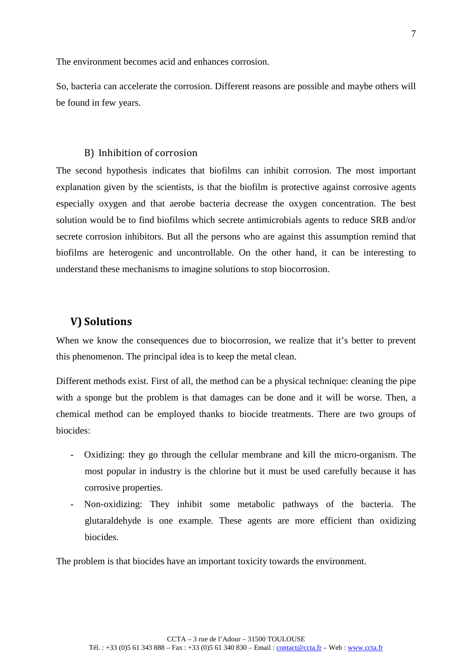The environment becomes acid and enhances corrosion.

So, bacteria can accelerate the corrosion. Different reasons are possible and maybe others will be found in few years.

#### B) Inhibition of corrosion

The second hypothesis indicates that biofilms can inhibit corrosion. The most important explanation given by the scientists, is that the biofilm is protective against corrosive agents especially oxygen and that aerobe bacteria decrease the oxygen concentration. The best solution would be to find biofilms which secrete antimicrobials agents to reduce SRB and/or secrete corrosion inhibitors. But all the persons who are against this assumption remind that biofilms are heterogenic and uncontrollable. On the other hand, it can be interesting to understand these mechanisms to imagine solutions to stop biocorrosion.

### **V) Solutions**

When we know the consequences due to biocorrosion, we realize that it's better to prevent this phenomenon. The principal idea is to keep the metal clean.

Different methods exist. First of all, the method can be a physical technique: cleaning the pipe with a sponge but the problem is that damages can be done and it will be worse. Then, a chemical method can be employed thanks to biocide treatments. There are two groups of biocides:

- Oxidizing: they go through the cellular membrane and kill the micro-organism. The most popular in industry is the chlorine but it must be used carefully because it has corrosive properties.
- Non-oxidizing: They inhibit some metabolic pathways of the bacteria. The glutaraldehyde is one example. These agents are more efficient than oxidizing biocides.

The problem is that biocides have an important toxicity towards the environment.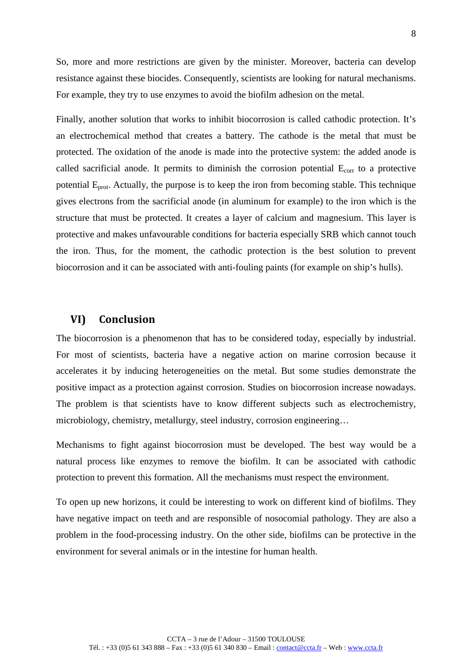So, more and more restrictions are given by the minister. Moreover, bacteria can develop resistance against these biocides. Consequently, scientists are looking for natural mechanisms. For example, they try to use enzymes to avoid the biofilm adhesion on the metal.

Finally, another solution that works to inhibit biocorrosion is called cathodic protection. It's an electrochemical method that creates a battery. The cathode is the metal that must be protected. The oxidation of the anode is made into the protective system: the added anode is called sacrificial anode. It permits to diminish the corrosion potential  $E_{\text{corr}}$  to a protective potential  $E_{prot}$ . Actually, the purpose is to keep the iron from becoming stable. This technique gives electrons from the sacrificial anode (in aluminum for example) to the iron which is the structure that must be protected. It creates a layer of calcium and magnesium. This layer is protective and makes unfavourable conditions for bacteria especially SRB which cannot touch the iron. Thus, for the moment, the cathodic protection is the best solution to prevent biocorrosion and it can be associated with anti-fouling paints (for example on ship's hulls).

# **VI) Conclusion**

The biocorrosion is a phenomenon that has to be considered today, especially by industrial. For most of scientists, bacteria have a negative action on marine corrosion because it accelerates it by inducing heterogeneities on the metal. But some studies demonstrate the positive impact as a protection against corrosion. Studies on biocorrosion increase nowadays. The problem is that scientists have to know different subjects such as electrochemistry, microbiology, chemistry, metallurgy, steel industry, corrosion engineering…

Mechanisms to fight against biocorrosion must be developed. The best way would be a natural process like enzymes to remove the biofilm. It can be associated with cathodic protection to prevent this formation. All the mechanisms must respect the environment.

To open up new horizons, it could be interesting to work on different kind of biofilms. They have negative impact on teeth and are responsible of nosocomial pathology. They are also a problem in the food-processing industry. On the other side, biofilms can be protective in the environment for several animals or in the intestine for human health.